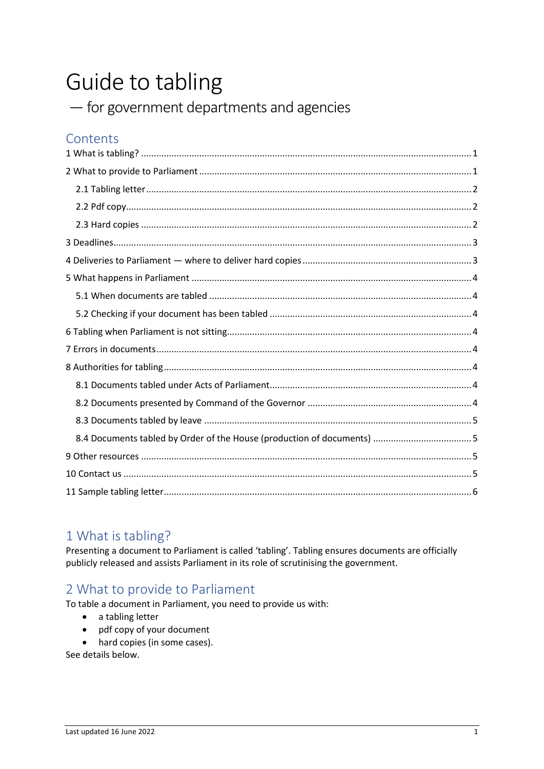# Guide to tabling

- for government departments and agencies

# Contents

# <span id="page-0-0"></span>1 What is tabling?

Presenting a document to Parliament is called 'tabling'. Tabling ensures documents are officially publicly released and assists Parliament in its role of scrutinising the government.

# <span id="page-0-1"></span>2 What to provide to Parliament

To table a document in Parliament, you need to provide us with:

- a tabling letter
- pdf copy of your document
- hard copies (in some cases).

See details below.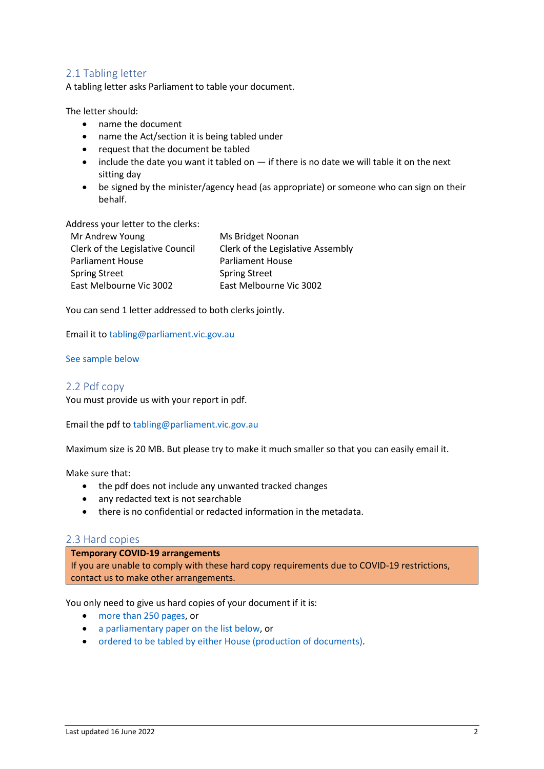## <span id="page-1-0"></span>2.1 Tabling letter

A tabling letter asks Parliament to table your document.

The letter should:

- name the document
- name the Act/section it is being tabled under
- request that the document be tabled
- include the date you want it tabled on if there is no date we will table it on the next sitting day
- be signed by the minister/agency head (as appropriate) or someone who can sign on their behalf.

## Address your letter to the clerks:

| Mr Andrew Young                  | Ms Bridget Noonan                 |
|----------------------------------|-----------------------------------|
| Clerk of the Legislative Council | Clerk of the Legislative Assembly |
| <b>Parliament House</b>          | <b>Parliament House</b>           |
| <b>Spring Street</b>             | <b>Spring Street</b>              |
| East Melbourne Vic 3002          | East Melbourne Vic 3002           |

You can send 1 letter addressed to both clerks jointly.

Email it t[o tabling@parliament.vic.gov.au](mailto:tabling@parliament.vic.gov.au)

#### [See sample below](#page-4-4)

#### <span id="page-1-1"></span>2.2 Pdf copy

You must provide us with your report in pdf.

Email the pdf to [tabling@parliament.vic.gov.au](mailto:tabling@parliament.vic.gov.au)

Maximum size is 20 MB. But please try to make it much smaller so that you can easily email it.

Make sure that:

- the pdf does not include any unwanted tracked changes
- any redacted text is not searchable
- there is no confidential or redacted information in the metadata.

#### <span id="page-1-2"></span>2.3 Hard copies

#### **Temporary COVID-19 arrangements**

If you are unable to comply with these hard copy requirements due to COVID-19 restrictions, contact us to make other arrangements.

You only need to give us hard copies of your document if it is:

- [more than 250 pages,](#page-2-2) or
- [a parliamentary paper on the list below,](#page-2-3) or
- [ordered to be tabled by either House \(production of documents\).](#page-2-4)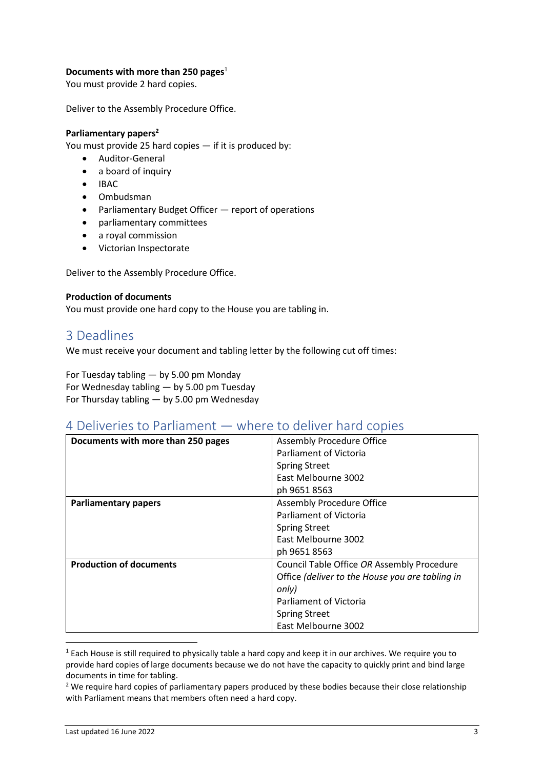## <span id="page-2-2"></span>**Documents with more than 250 pages**<sup>1</sup>

You must provide 2 hard copies.

Deliver to the Assembly Procedure Office.

#### <span id="page-2-3"></span>**Parliamentary papers<sup>2</sup>**

You must provide 25 hard copies — if it is produced by:

- Auditor-General
- a board of inquiry
- IBAC
- Ombudsman
- Parliamentary Budget Officer report of operations
- parliamentary committees
- a royal commission
- Victorian Inspectorate

Deliver to the Assembly Procedure Office.

#### <span id="page-2-4"></span>**Production of documents**

<span id="page-2-0"></span>You must provide one hard copy to the House you are tabling in.

# 3 Deadlines

We must receive your document and tabling letter by the following cut off times:

For Tuesday tabling — by 5.00 pm Monday For Wednesday tabling — by 5.00 pm Tuesday For Thursday tabling — by 5.00 pm Wednesday

# <span id="page-2-1"></span>4 Deliveries to Parliament — where to deliver hard copies

| Documents with more than 250 pages | Assembly Procedure Office                       |
|------------------------------------|-------------------------------------------------|
|                                    | Parliament of Victoria                          |
|                                    | <b>Spring Street</b>                            |
|                                    | East Melbourne 3002                             |
|                                    | ph 9651 8563                                    |
| <b>Parliamentary papers</b>        | Assembly Procedure Office                       |
|                                    | Parliament of Victoria                          |
|                                    | <b>Spring Street</b>                            |
|                                    | East Melbourne 3002                             |
|                                    | ph 9651 8563                                    |
| <b>Production of documents</b>     | Council Table Office OR Assembly Procedure      |
|                                    | Office (deliver to the House you are tabling in |
|                                    | only)                                           |
|                                    | Parliament of Victoria                          |
|                                    | <b>Spring Street</b>                            |
|                                    | East Melbourne 3002                             |

 $1$  Each House is still required to physically table a hard copy and keep it in our archives. We require you to provide hard copies of large documents because we do not have the capacity to quickly print and bind large documents in time for tabling.

 $<sup>2</sup>$  We require hard copies of parliamentary papers produced by these bodies because their close relationship</sup> with Parliament means that members often need a hard copy.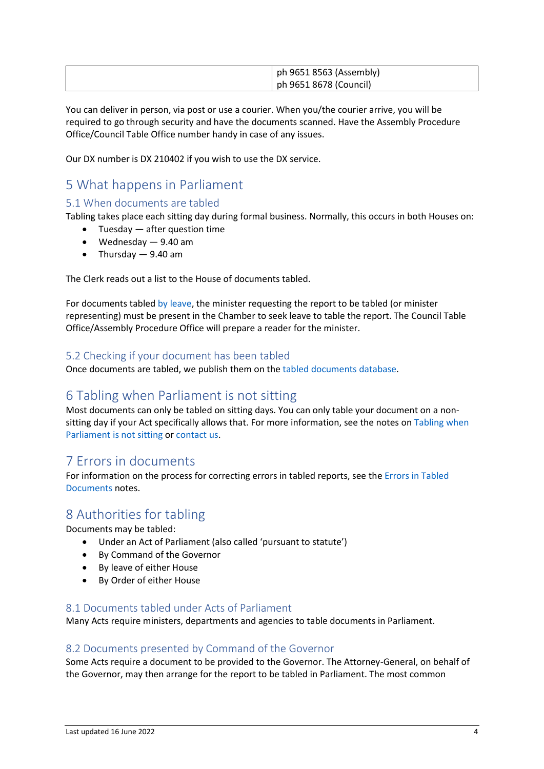| ph 9651 8563 (Assembly) |
|-------------------------|
| ph 9651 8678 (Council)  |

You can deliver in person, via post or use a courier. When you/the courier arrive, you will be required to go through security and have the documents scanned. Have the Assembly Procedure Office/Council Table Office number handy in case of any issues.

<span id="page-3-0"></span>Our DX number is DX 210402 if you wish to use the DX service.

# 5 What happens in Parliament

# <span id="page-3-1"></span>5.1 When documents are tabled

Tabling takes place each sitting day during formal business. Normally, this occurs in both Houses on:

- Tuesday  $-$  after question time
- Wednesday 9.40 am
- Thursday 9.40 am

The Clerk reads out a list to the House of documents tabled.

For documents table[d by leave,](#page-4-0) the minister requesting the report to be tabled (or minister representing) must be present in the Chamber to seek leave to table the report. The Council Table Office/Assembly Procedure Office will prepare a reader for the minister.

# <span id="page-3-2"></span>5.2 Checking if your document has been tabled

<span id="page-3-3"></span>Once documents are tabled, we publish them on th[e tabled documents database.](https://www.parliament.vic.gov.au/tabled-documents-database)

# 6 Tabling when Parliament is not sitting

Most documents can only be tabled on sitting days. You can only table your document on a nonsitting day if your Act specifically allows that. For more information, see the notes on Tabling when [Parliament is not sitting](https://new.parliament.vic.gov.au/globalassets/sections-shared/parliamentary-activity/guides-for-departments/tabling-when-parliament-is-not-sitting.pdf) o[r contact us.](#page-4-3)

# <span id="page-3-4"></span>7 Errors in documents

For information on the process for correcting errors in tabled reports, see the [Errors in Tabled](https://new.parliament.vic.gov.au/globalassets/sections-shared/parliamentary-activity/guides-for-departments/errors-in-tabled-documents.pdf)  [Documents](https://new.parliament.vic.gov.au/globalassets/sections-shared/parliamentary-activity/guides-for-departments/errors-in-tabled-documents.pdf) notes.

# <span id="page-3-5"></span>8 Authorities for tabling

Documents may be tabled:

- Under an Act of Parliament (also called 'pursuant to statute')
- By Command of the Governor
- By leave of either House
- By Order of either House

## <span id="page-3-6"></span>8.1 Documents tabled under Acts of Parliament

Many Acts require ministers, departments and agencies to table documents in Parliament.

# <span id="page-3-7"></span>8.2 Documents presented by Command of the Governor

Some Acts require a document to be provided to the Governor. The Attorney-General, on behalf of the Governor, may then arrange for the report to be tabled in Parliament. The most common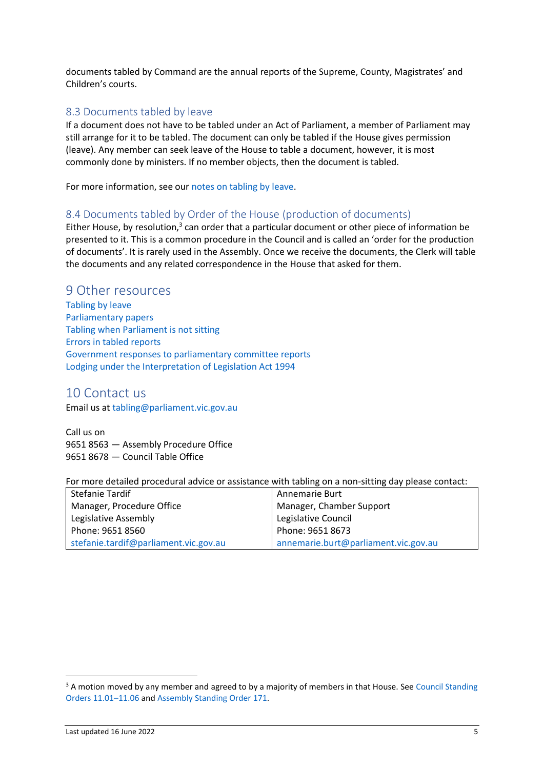documents tabled by Command are the annual reports of the Supreme, County, Magistrates' and Children's courts.

## <span id="page-4-0"></span>8.3 Documents tabled by leave

If a document does not have to be tabled under an Act of Parliament, a member of Parliament may still arrange for it to be tabled. The document can only be tabled if the House gives permission (leave). Any member can seek leave of the House to table a document, however, it is most commonly done by ministers. If no member objects, then the document is tabled.

For more information, see ou[r notes on tabling by leave.](https://new.parliament.vic.gov.au/globalassets/sections-shared/parliamentary-activity/guides-for-departments/tabling-by-leave.pdf)

## <span id="page-4-1"></span>8.4 Documents tabled by Order of the House (production of documents)

Either House, by resolution, $3$  can order that a particular document or other piece of information be presented to it. This is a common procedure in the Council and is called an 'order for the production of documents'. It is rarely used in the Assembly. Once we receive the documents, the Clerk will table the documents and any related correspondence in the House that asked for them.

## <span id="page-4-2"></span>9 Other resources

[Tabling by leave](https://new.parliament.vic.gov.au/globalassets/sections-shared/parliamentary-activity/guides-for-departments/tabling-by-leave.pdf) [Parliamentary papers](https://new.parliament.vic.gov.au/globalassets/sections-shared/parliamentary-activity/guides-for-departments/parliamentary-papers.pdf) [Tabling when Parliament is not sitting](https://new.parliament.vic.gov.au/globalassets/sections-shared/parliamentary-activity/guides-for-departments/tabling-when-parliament-is-not-sitting.pdf) [Errors in tabled reports](https://new.parliament.vic.gov.au/globalassets/sections-shared/parliamentary-activity/guides-for-departments/errors-in-tabled-documents.pdf) [Government responses to parliamentary committee reports](https://new.parliament.vic.gov.au/globalassets/sections-shared/parliamentary-activity/guides-for-departments/government-responses.pdf) [Lodging under the Interpretation of Legislation Act 1994](https://new.parliament.vic.gov.au/globalassets/sections-shared/parliamentary-activity/guides-for-departments/Lodging-under-the-Interpretation-of-Legislation-Act.pdf)

# <span id="page-4-3"></span>10 Contact us

Email us at [tabling@parliament.vic.gov.au](mailto:tabling@parliament.vic.gov.au)

Call us on 9651 8563 — Assembly Procedure Office 9651 8678 — Council Table Office

For more detailed procedural advice or assistance with tabling on a non-sitting day please contact:

<span id="page-4-4"></span>

| Annemarie Burt                       |
|--------------------------------------|
| Manager, Chamber Support             |
| Legislative Council                  |
| Phone: 9651 8673                     |
| annemarie.burt@parliament.vic.gov.au |
|                                      |

 $3$  A motion moved by any member and agreed to by a majority of members in that House. See Council Standing [Orders 11.01](https://www.parliament.vic.gov.au/council/standing-aamp-sessional-orders-rules/standing-orders?amp;view=article&id=697&catid=1)–11.06 and [Assembly Standing Order 171.](https://www.parliament.vic.gov.au/assembly/standing-aamps-sessional-ordersrules/standing-orders/2-legislative-assembly/articles/762-chapter-20-tabling-of-documents#so171)